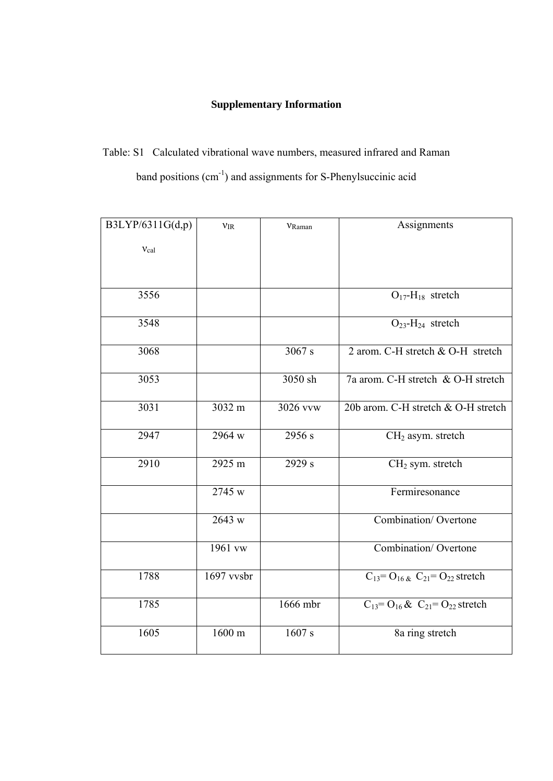## **Supplementary Information**

Table: S1 Calculated vibrational wave numbers, measured infrared and Raman band positions (cm-1) and assignments for S-Phenylsuccinic acid

| B3LYP/6311G(d,p) | $\ensuremath{\nu_\mathrm{IR}}\xspace$ | VRaman   | Assignments                                                                |
|------------------|---------------------------------------|----------|----------------------------------------------------------------------------|
| $v_{cal}$        |                                       |          |                                                                            |
|                  |                                       |          |                                                                            |
|                  |                                       |          |                                                                            |
| 3556             |                                       |          | $O_{17}$ -H <sub>18</sub> stretch                                          |
| 3548             |                                       |          | $O_{23}$ -H <sub>24</sub> stretch                                          |
| 3068             |                                       | 3067 s   | 2 arom. C-H stretch & O-H stretch                                          |
| 3053             |                                       | 3050 sh  | 7a arom. C-H stretch & O-H stretch                                         |
| 3031             | 3032 m                                | 3026 vvw | 20b arom. C-H stretch & O-H stretch                                        |
| 2947             | 2964 w                                | 2956 s   | $CH2$ asym. stretch                                                        |
| 2910             | 2925 m                                | 2929 s   | CH <sub>2</sub> sym. stretch                                               |
|                  | 2745 w                                |          | Fermiresonance                                                             |
|                  | 2643 w                                |          | Combination/Overtone                                                       |
|                  | 1961 vw                               |          | <b>Combination/Overtone</b>                                                |
| 1788             | 1697 vvsbr                            |          | $C_{13}$ = O <sub>16 &amp;</sub> C <sub>21</sub> = O <sub>22</sub> stretch |
| 1785             |                                       | 1666 mbr | $C_{13} = O_{16} \& C_{21} = O_{22}$ stretch                               |
| 1605             | 1600 m                                | 1607 s   | 8a ring stretch                                                            |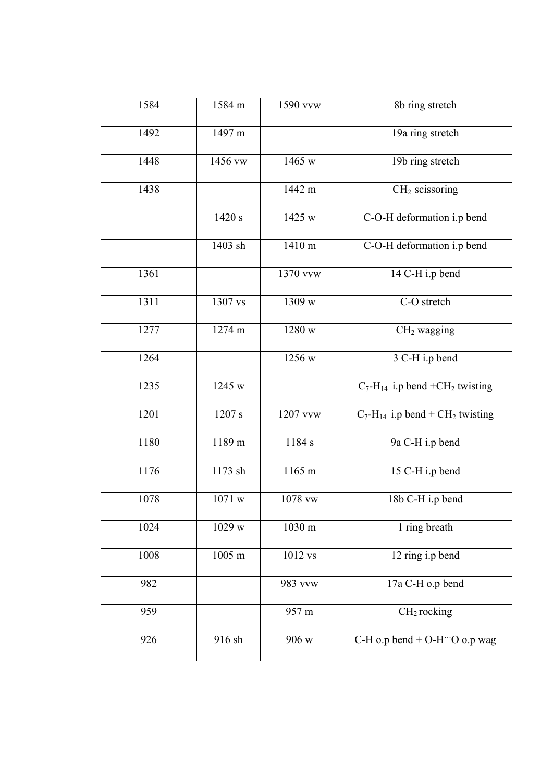| 1584 | 1584 m  | 1590 vvw  | 8b ring stretch                                            |
|------|---------|-----------|------------------------------------------------------------|
| 1492 | 1497 m  |           | 19a ring stretch                                           |
| 1448 | 1456 vw | 1465 w    | 19b ring stretch                                           |
| 1438 |         | 1442 m    | $CH2$ scissoring                                           |
|      | 1420 s  | 1425 w    | C-O-H deformation i.p bend                                 |
|      | 1403 sh | 1410 m    | C-O-H deformation i.p bend                                 |
| 1361 |         | 1370 vvw  | $\overline{14}$ C-H i.p bend                               |
| 1311 | 1307 vs | 1309 w    | C-O stretch                                                |
| 1277 | 1274 m  | 1280 w    | $CH2$ wagging                                              |
| 1264 |         | 1256 w    | 3 C-H i.p bend                                             |
| 1235 | 1245 w  |           | $C_7$ -H <sub>14</sub> i.p bend +CH <sub>2</sub> twisting  |
| 1201 | 1207 s  | 1207 vvw  | $C_7$ -H <sub>14</sub> i.p bend + CH <sub>2</sub> twisting |
| 1180 | 1189 m  | 1184 s    | 9a C-H i.p bend                                            |
| 1176 | 1173 sh | 1165 m    | 15 C-H i.p bend                                            |
| 1078 | 1071 w  | 1078 vw   | 18b C-H i.p bend                                           |
| 1024 | 1029 w  | 1030 m    | $\overline{1}$ ring breath                                 |
| 1008 | 1005 m  | $1012$ vs | 12 ring i.p bend                                           |
| 982  |         | 983 vvw   | 17a C-H o.p bend                                           |
| 959  |         | 957 m     | CH <sub>2</sub> rocking                                    |
| 926  | 916 sh  | 906 w     | C-H o.p bend + O-H $\degree$ O o.p wag                     |